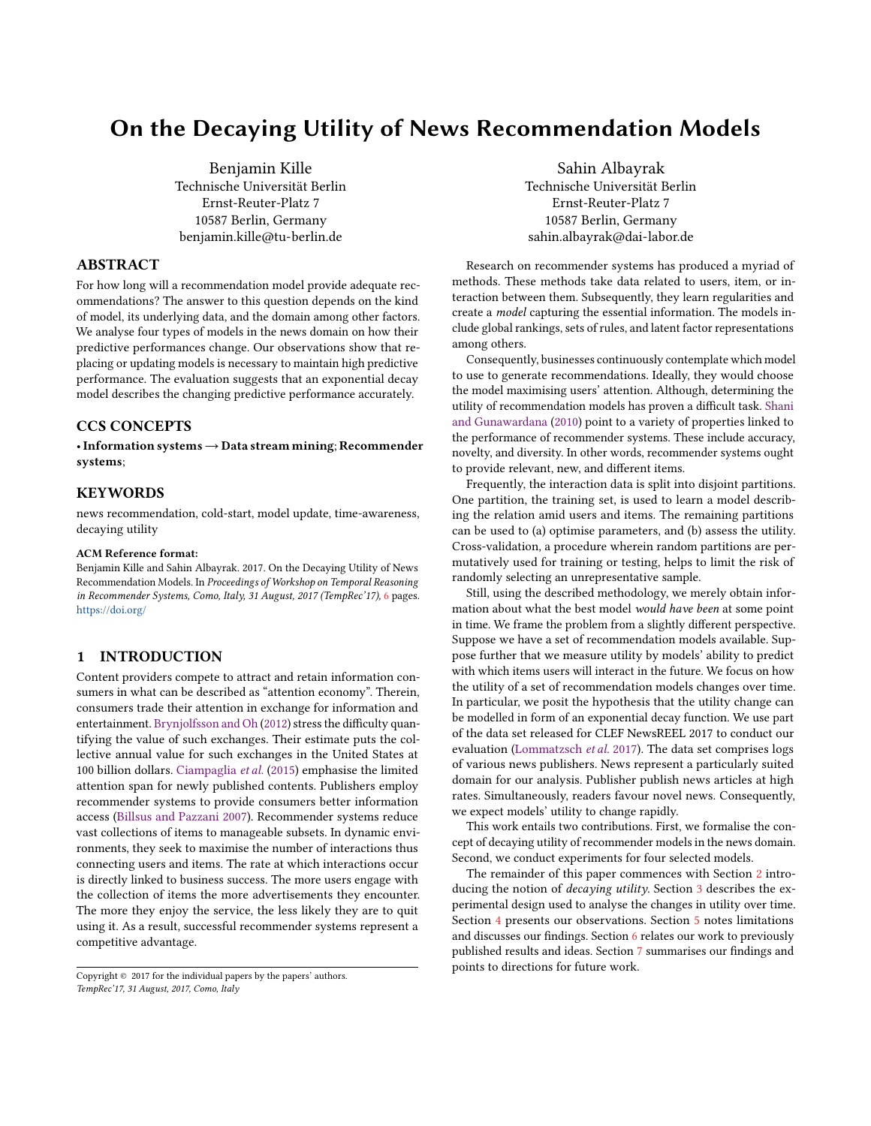# On the Decaying Utility of News Recommendation Models

Benjamin Kille Technische Universität Berlin Ernst-Reuter-Platz 7 10587 Berlin, Germany benjamin.kille@tu-berlin.de

# ABSTRACT

For how long will a recommendation model provide adequate recommendations? The answer to this question depends on the kind of model, its underlying data, and the domain among other factors. We analyse four types of models in the news domain on how their predictive performances change. Our observations show that replacing or updating models is necessary to maintain high predictive performance. The evaluation suggests that an exponential decay model describes the changing predictive performance accurately.

# CCS CONCEPTS

•Information systems→Data stream mining; Recommender systems;

# **KEYWORDS**

news recommendation, cold-start, model update, time-awareness, decaying utility

#### ACM Reference format:

Benjamin Kille and Sahin Albayrak. 2017. On the Decaying Utility of News Recommendation Models. In Proceedings of Workshop on Temporal Reasoning in Recommender Systems, Como, Italy, 31 August, 2017 (TempRec'17), [6](#page-5-0) pages. <https://doi.org/>

## 1 INTRODUCTION

Content providers compete to attract and retain information consumers in what can be described as "attention economy". Therein, consumers trade their attention in exchange for information and entertainment. [Brynjolfsson and Oh](#page-5-1) [\(2012\)](#page-5-1) stress the difficulty quantifying the value of such exchanges. Their estimate puts the collective annual value for such exchanges in the United States at 100 billion dollars. [Ciampaglia](#page-5-2) et al. [\(2015\)](#page-5-2) emphasise the limited attention span for newly published contents. Publishers employ recommender systems to provide consumers better information access [\(Billsus and Pazzani](#page-5-3) [2007\)](#page-5-3). Recommender systems reduce vast collections of items to manageable subsets. In dynamic environments, they seek to maximise the number of interactions thus connecting users and items. The rate at which interactions occur is directly linked to business success. The more users engage with the collection of items the more advertisements they encounter. The more they enjoy the service, the less likely they are to quit using it. As a result, successful recommender systems represent a competitive advantage.

Copyright  $@$  2017 for the individual papers by the papers' authors. TempRec'17, 31 August, 2017, Como, Italy

Sahin Albayrak Technische Universität Berlin Ernst-Reuter-Platz 7 10587 Berlin, Germany sahin.albayrak@dai-labor.de

Research on recommender systems has produced a myriad of methods. These methods take data related to users, item, or interaction between them. Subsequently, they learn regularities and create a model capturing the essential information. The models include global rankings, sets of rules, and latent factor representations among others.

Consequently, businesses continuously contemplate which model to use to generate recommendations. Ideally, they would choose the model maximising users' attention. Although, determining the utility of recommendation models has proven a difficult task. [Shani](#page-5-4) [and Gunawardana](#page-5-4) [\(2010\)](#page-5-4) point to a variety of properties linked to the performance of recommender systems. These include accuracy, novelty, and diversity. In other words, recommender systems ought to provide relevant, new, and different items.

Frequently, the interaction data is split into disjoint partitions. One partition, the training set, is used to learn a model describing the relation amid users and items. The remaining partitions can be used to (a) optimise parameters, and (b) assess the utility. Cross-validation, a procedure wherein random partitions are permutatively used for training or testing, helps to limit the risk of randomly selecting an unrepresentative sample.

Still, using the described methodology, we merely obtain information about what the best model would have been at some point in time. We frame the problem from a slightly different perspective. Suppose we have a set of recommendation models available. Suppose further that we measure utility by models' ability to predict with which items users will interact in the future. We focus on how the utility of a set of recommendation models changes over time. In particular, we posit the hypothesis that the utility change can be modelled in form of an exponential decay function. We use part of the data set released for CLEF NewsREEL 2017 to conduct our evaluation [\(Lommatzsch](#page-5-5) et al. [2017\)](#page-5-5). The data set comprises logs of various news publishers. News represent a particularly suited domain for our analysis. Publisher publish news articles at high rates. Simultaneously, readers favour novel news. Consequently, we expect models' utility to change rapidly.

This work entails two contributions. First, we formalise the concept of decaying utility of recommender models in the news domain. Second, we conduct experiments for four selected models.

The remainder of this paper commences with Section [2](#page-1-0) introducing the notion of *decaying utility*. Section [3](#page-1-1) describes the experimental design used to analyse the changes in utility over time. Section [4](#page-1-2) presents our observations. Section [5](#page-2-0) notes limitations and discusses our findings. Section [6](#page-4-0) relates our work to previously published results and ideas. Section [7](#page-4-1) summarises our findings and points to directions for future work.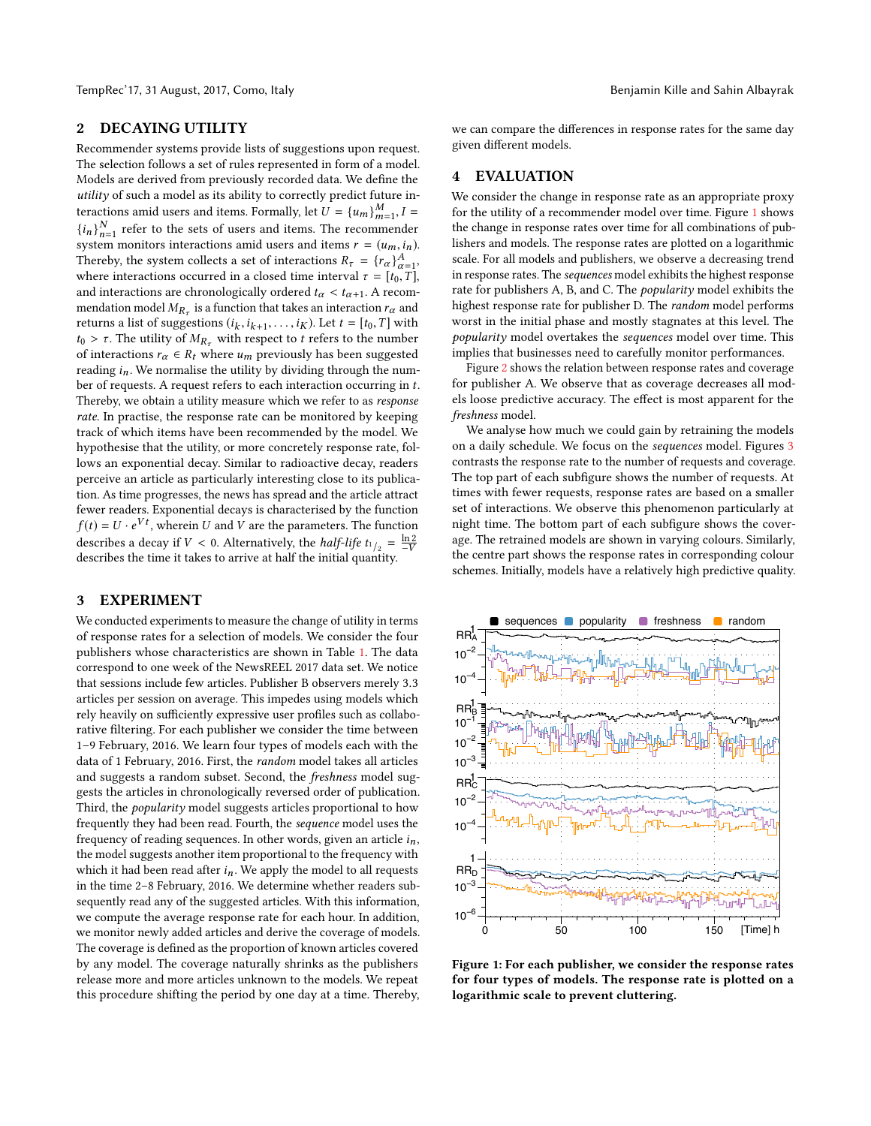TempRec'17, 31 August, 2017, Como, Italy Benjamin Kille and Sahin Albayrak

# <span id="page-1-0"></span>2 DECAYING UTILITY

Recommender systems provide lists of suggestions upon request. The selection follows a set of rules represented in form of a model. Models are derived from previously recorded data. We define the utility of such a model as its ability to correctly predict future interactions amid users and items. Formally, let  $U = \{u_m\}_{m=1}^M$ ,  $I = \{i, j\}^N$ , and it has a fixer and items. The assumption due  ${i_n}_{n=1}^N$ , refer to the sets of users and items. The recommender<br> ${i_n}_{n=1}^N$  refer to the sets of users and items. The recommender  $\sum_{n=1}^{\infty}$  if the 1 to the sets of users and items. The recommender<br>system monitors interactions amid users and items  $r = (u_m, i_n)$ .<br>Thereby the system collecte a set of interactions  $P = (x_n)^A$ . Thereby, the system collects a set of interactions  $R_{\tau} = \{r_{\alpha}\}_{\alpha=1}^{A}$ , where interactions occurred in a closed time interval  $\tau = [t_{\alpha} \ T]$ . Thereby, the system conects a set of interactions  $K_{\tau} = \{t\alpha\}_{\alpha=1}^{T}$ ,<br>where interactions occurred in a closed time interval  $\tau = [t_0, T]$ ,<br>and interactions are chronologically ordered  $t \leq t \leq \Lambda$  recomand interactions are chronologically ordered  $t_{\alpha} < t_{\alpha+1}$ . A recommendation model  $M_{R_{\tau}}$  is a function that takes an interaction  $r_{\alpha}$  and returns a list of suggestions  $(i, i, \ldots, i_{\tau})$ . Let  $t = [t_0, T]$  with returns a list of suggestions  $(i_k, i_{k+1}, \ldots, i_K)$ . Let  $t = [t_0, T]$  with  $t_0 > \tau$ . The utility of  $M_0$ , with respect to t refers to the number returns a list or suggestions ( $i_k$ ,  $i_{k+1}$ , ...,  $i_K$ ). Let  $t = [i_0, 1]$  with  $t_0 > \tau$ . The utility of  $M_{R_{\tau}}$  with respect to  $t$  refers to the number of interactions  $\mathbf{r} \in R$ , where  $u$ , previously has been sug of interactions  $r_{\alpha} \in R_t$  where  $u_m$  previously has been suggested reading  $i_n$ . We normalise the utility by dividing through the number of requests. A request refers to each interaction occurring in t. Thereby, we obtain a utility measure which we refer to as response rate. In practise, the response rate can be monitored by keeping track of which items have been recommended by the model. We hypothesise that the utility, or more concretely response rate, follows an exponential decay. Similar to radioactive decay, readers perceive an article as particularly interesting close to its publication. As time progresses, the news has spread and the article attract fewer readers. Exponential decays is characterised by the function  $f(t) = U \cdot e^{Vt}$ , wherein U and V are the parameters. The function<br>december a decounit  $V \le 0$ , Alternatively, the half life  $t = \frac{\ln 2}{\ln 2}$ describes a decay if  $V < 0$ . Alternatively, the *half-life*  $t_{1/2} = \frac{\ln 2}{-V}$ <br>describes the time it takes to arrive at half the initial quantity describes the time it takes to arrive at half the initial quantity.

### <span id="page-1-1"></span>3 EXPERIMENT

We conducted experiments to measure the change of utility in terms of response rates for a selection of models. We consider the four publishers whose characteristics are shown in Table [1.](#page-2-1) The data correspond to one week of the NewsREEL 2017 data set. We notice that sessions include few articles. Publisher B observers merely <sup>3</sup>.<sup>3</sup> articles per session on average. This impedes using models which rely heavily on sufficiently expressive user profiles such as collaborative filtering. For each publisher we consider the time between 1–9 February, 2016. We learn four types of models each with the data of 1 February, 2016. First, the random model takes all articles and suggests a random subset. Second, the freshness model suggests the articles in chronologically reversed order of publication. Third, the *popularity* model suggests articles proportional to how frequently they had been read. Fourth, the sequence model uses the frequency of reading sequences. In other words, given an article  $i_n$ , the model suggests another item proportional to the frequency with which it had been read after  $i_n$ . We apply the model to all requests in the time 2–8 February, 2016. We determine whether readers subsequently read any of the suggested articles. With this information, we compute the average response rate for each hour. In addition, we monitor newly added articles and derive the coverage of models. The coverage is defined as the proportion of known articles covered by any model. The coverage naturally shrinks as the publishers release more and more articles unknown to the models. We repeat this procedure shifting the period by one day at a time. Thereby, we can compare the differences in response rates for the same day given different models.

## <span id="page-1-2"></span>4 EVALUATION

We consider the change in response rate as an appropriate proxy for the utility of a recommender model over time. Figure [1](#page-1-3) shows the change in response rates over time for all combinations of publishers and models. The response rates are plotted on a logarithmic scale. For all models and publishers, we observe a decreasing trend in response rates. The sequences model exhibits the highest response rate for publishers A, B, and C. The popularity model exhibits the highest response rate for publisher D. The random model performs worst in the initial phase and mostly stagnates at this level. The popularity model overtakes the sequences model over time. This implies that businesses need to carefully monitor performances.

Figure [2](#page-2-2) shows the relation between response rates and coverage for publisher A. We observe that as coverage decreases all models loose predictive accuracy. The effect is most apparent for the freshness model.

We analyse how much we could gain by retraining the models on a daily schedule. We focus on the sequences model. Figures [3](#page-3-0) contrasts the response rate to the number of requests and coverage. The top part of each subfigure shows the number of requests. At times with fewer requests, response rates are based on a smaller set of interactions. We observe this phenomenon particularly at night time. The bottom part of each subfigure shows the coverage. The retrained models are shown in varying colours. Similarly, the centre part shows the response rates in corresponding colour schemes. Initially, models have a relatively high predictive quality.

<span id="page-1-3"></span>

Figure 1: For each publisher, we consider the response rates for four types of models. The response rate is plotted on a logarithmic scale to prevent cluttering.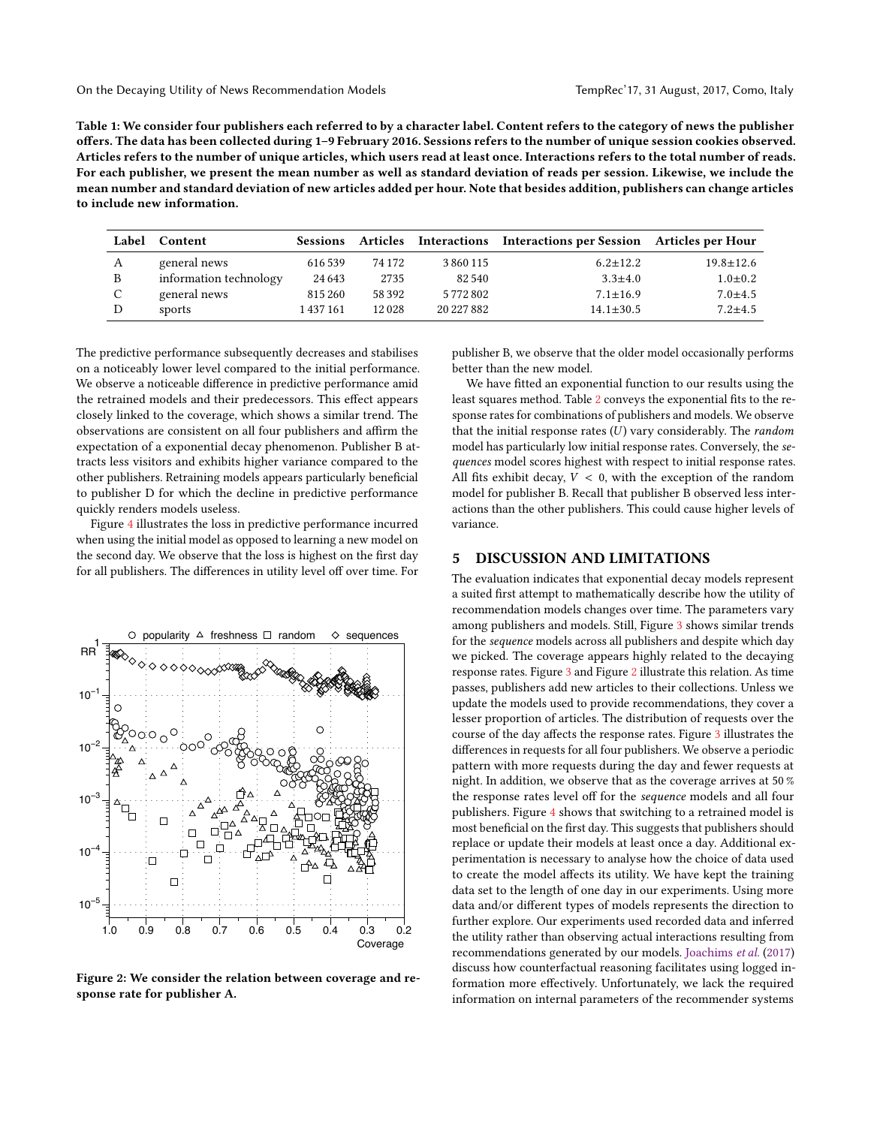<span id="page-2-1"></span>Table 1: We consider four publishers each referred to by a character label. Content refers to the category of news the publisher offers. The data has been collected during 1–9 February 2016. Sessions refers to the number of unique session cookies observed. Articles refers to the number of unique articles, which users read at least once. Interactions refers to the total number of reads. For each publisher, we present the mean number as well as standard deviation of reads per session. Likewise, we include the mean number and standard deviation of new articles added per hour. Note that besides addition, publishers can change articles to include new information.

| Label | Content                | <b>Sessions</b> |        |            | Articles Interactions Interactions per Session Articles per Hour |                 |
|-------|------------------------|-----------------|--------|------------|------------------------------------------------------------------|-----------------|
| A     | general news           | 616 539         | 74 172 | 3860115    | $6.2 \pm 12.2$                                                   | $19.8 \pm 12.6$ |
| B     | information technology | 24 6 43         | 2735   | 82540      | $3.3 \pm 4.0$                                                    | $1.0 \pm 0.2$   |
| C     | general news           | 815 260         | 58 392 | 5772802    | $7.1 \pm 16.9$                                                   | $7.0 + 4.5$     |
| D     | sports                 | 1 437 161       | 12028  | 20 227 882 | $14.1 \pm 30.5$                                                  | $7.2 + 4.5$     |

The predictive performance subsequently decreases and stabilises on a noticeably lower level compared to the initial performance. We observe a noticeable difference in predictive performance amid the retrained models and their predecessors. This effect appears closely linked to the coverage, which shows a similar trend. The observations are consistent on all four publishers and affirm the expectation of a exponential decay phenomenon. Publisher B attracts less visitors and exhibits higher variance compared to the other publishers. Retraining models appears particularly beneficial to publisher D for which the decline in predictive performance quickly renders models useless.

Figure [4](#page-4-2) illustrates the loss in predictive performance incurred when using the initial model as opposed to learning a new model on the second day. We observe that the loss is highest on the first day for all publishers. The differences in utility level off over time. For

<span id="page-2-2"></span>

Figure 2: We consider the relation between coverage and response rate for publisher A.

publisher B, we observe that the older model occasionally performs better than the new model.

We have fitted an exponential function to our results using the least squares method. Table [2](#page-4-3) conveys the exponential fits to the response rates for combinations of publishers and models. We observe that the initial response rates  $(U)$  vary considerably. The random model has particularly low initial response rates. Conversely, the sequences model scores highest with respect to initial response rates. All fits exhibit decay,  $V < 0$ , with the exception of the random model for publisher B. Recall that publisher B observed less interactions than the other publishers. This could cause higher levels of variance.

#### <span id="page-2-0"></span>5 DISCUSSION AND LIMITATIONS

The evaluation indicates that exponential decay models represent a suited first attempt to mathematically describe how the utility of recommendation models changes over time. The parameters vary among publishers and models. Still, Figure [3](#page-3-0) shows similar trends for the sequence models across all publishers and despite which day we picked. The coverage appears highly related to the decaying response rates. Figure [3](#page-3-0) and Figure [2](#page-2-2) illustrate this relation. As time passes, publishers add new articles to their collections. Unless we update the models used to provide recommendations, they cover a lesser proportion of articles. The distribution of requests over the course of the day affects the response rates. Figure [3](#page-3-0) illustrates the differences in requests for all four publishers. We observe a periodic pattern with more requests during the day and fewer requests at night. In addition, we observe that as the coverage arrives at 50 % the response rates level off for the sequence models and all four publishers. Figure [4](#page-4-2) shows that switching to a retrained model is most beneficial on the first day. This suggests that publishers should replace or update their models at least once a day. Additional experimentation is necessary to analyse how the choice of data used to create the model affects its utility. We have kept the training data set to the length of one day in our experiments. Using more data and/or different types of models represents the direction to further explore. Our experiments used recorded data and inferred the utility rather than observing actual interactions resulting from recommendations generated by our models. [Joachims](#page-5-6) et al. [\(2017\)](#page-5-6) discuss how counterfactual reasoning facilitates using logged information more effectively. Unfortunately, we lack the required information on internal parameters of the recommender systems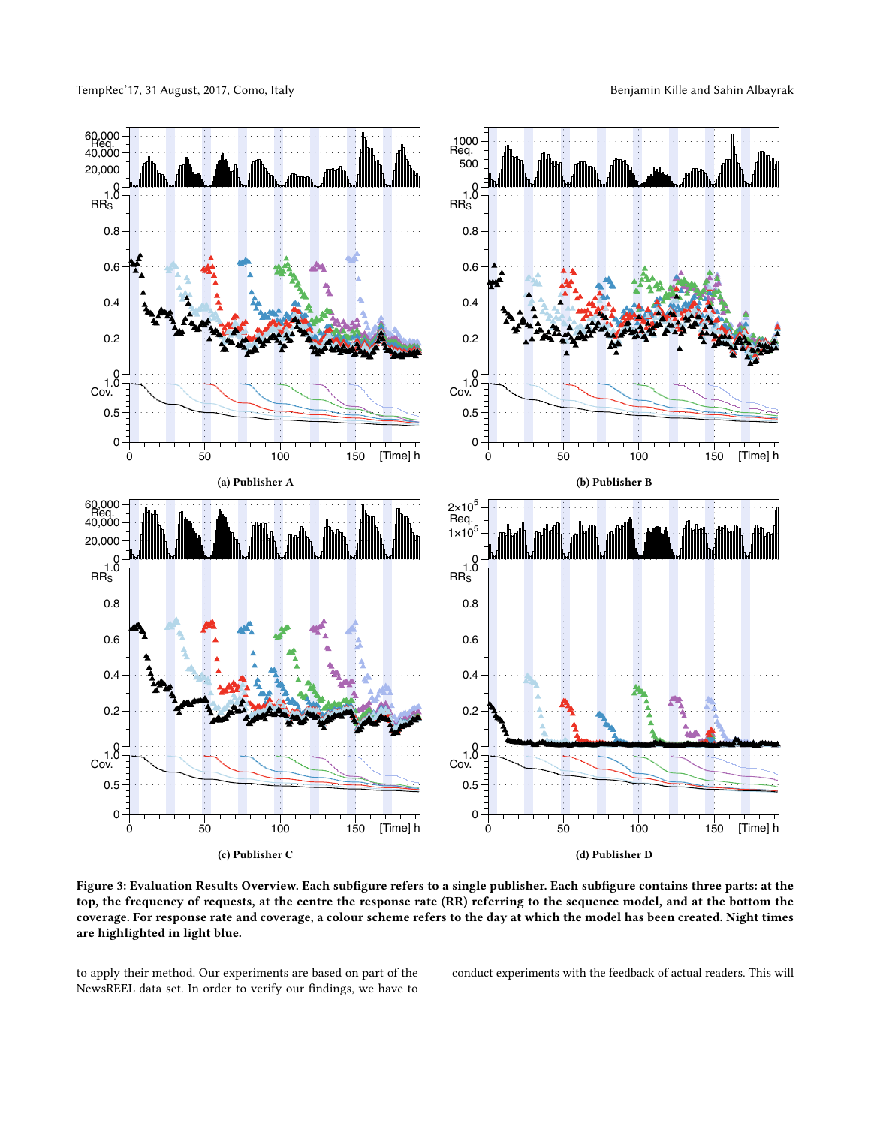<span id="page-3-0"></span>

Figure 3: Evaluation Results Overview. Each subfigure refers to a single publisher. Each subfigure contains three parts: at the top, the frequency of requests, at the centre the response rate (RR) referring to the sequence model, and at the bottom the coverage. For response rate and coverage, a colour scheme refers to the day at which the model has been created. Night times are highlighted in light blue.

to apply their method. Our experiments are based on part of the NewsREEL data set. In order to verify our findings, we have to

conduct experiments with the feedback of actual readers. This will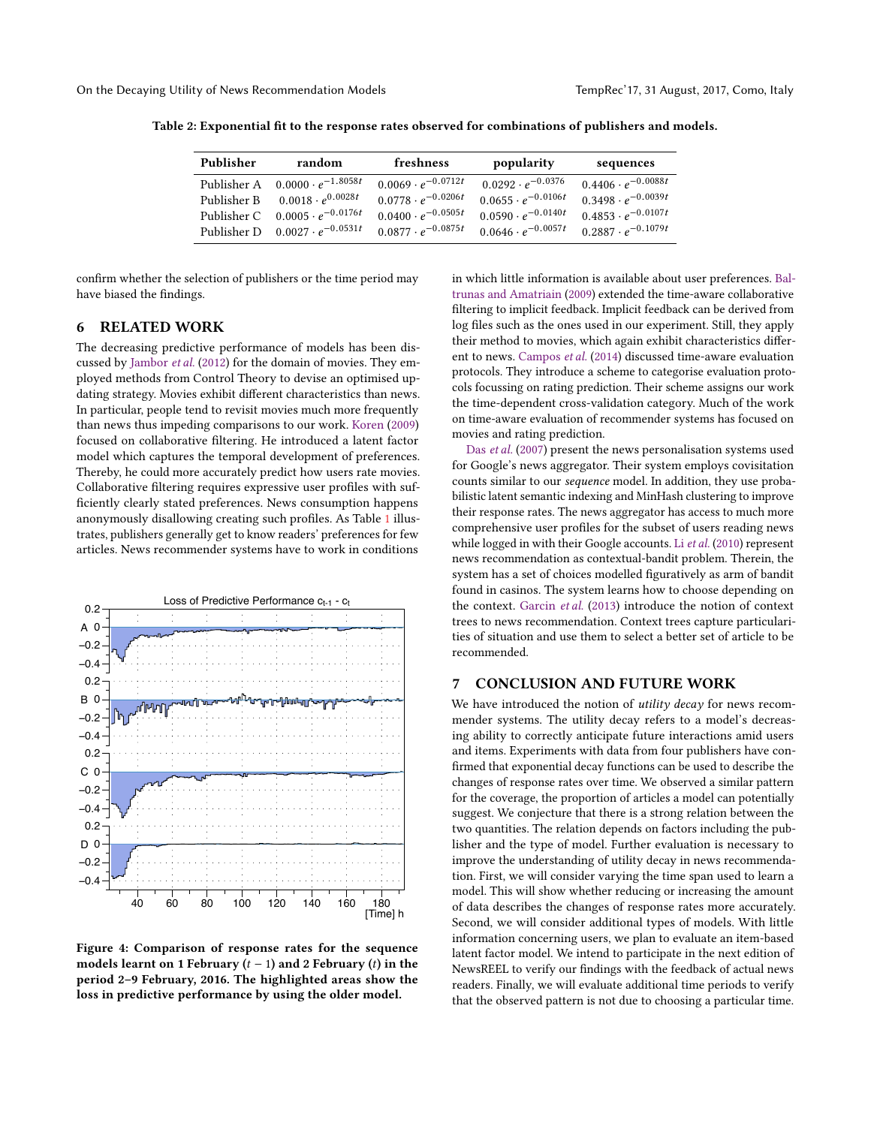| Publisher | random                                  | freshness                   | popularity                  | sequences                   |
|-----------|-----------------------------------------|-----------------------------|-----------------------------|-----------------------------|
|           | Publisher A $0.0000 \cdot e^{-1.8058t}$ | $0.0069 \cdot e^{-0.0712t}$ | $0.0292 \cdot e^{-0.0376}$  | $0.4406 \cdot e^{-0.0088t}$ |
|           | Publisher B $0.0018 \cdot e^{0.0028t}$  | $0.0778 \cdot e^{-0.0206t}$ | $0.0655 \cdot e^{-0.0106t}$ | $0.3498 \cdot e^{-0.0039t}$ |
|           | Publisher C $0.0005 \cdot e^{-0.0176t}$ | $0.0400 \cdot e^{-0.0505t}$ | $0.0590 \cdot e^{-0.0140t}$ | $0.4853 \cdot e^{-0.0107t}$ |
|           | Publisher D $0.0027 \cdot e^{-0.0531t}$ | $0.0877 \cdot e^{-0.0875t}$ | $0.0646 \cdot e^{-0.0057t}$ | $0.2887 \cdot e^{-0.1079t}$ |

<span id="page-4-3"></span>Table 2: Exponential fit to the response rates observed for combinations of publishers and models.

confirm whether the selection of publishers or the time period may have biased the findings.

# <span id="page-4-0"></span>6 RELATED WORK

The decreasing predictive performance of models has been discussed by [Jambor](#page-5-7) et al. [\(2012\)](#page-5-7) for the domain of movies. They employed methods from Control Theory to devise an optimised updating strategy. Movies exhibit different characteristics than news. In particular, people tend to revisit movies much more frequently than news thus impeding comparisons to our work. [Koren](#page-5-8) [\(2009\)](#page-5-8) focused on collaborative filtering. He introduced a latent factor model which captures the temporal development of preferences. Thereby, he could more accurately predict how users rate movies. Collaborative filtering requires expressive user profiles with sufficiently clearly stated preferences. News consumption happens anonymously disallowing creating such profiles. As Table [1](#page-2-1) illustrates, publishers generally get to know readers' preferences for few articles. News recommender systems have to work in conditions

<span id="page-4-2"></span>

Figure 4: Comparison of response rates for the sequence models learnt on 1 February  $(t - 1)$  and 2 February  $(t)$  in the period 2–9 February, 2016. The highlighted areas show the loss in predictive performance by using the older model.

in which little information is available about user preferences. [Bal](#page-5-9)[trunas and Amatriain](#page-5-9) [\(2009\)](#page-5-9) extended the time-aware collaborative filtering to implicit feedback. Implicit feedback can be derived from log files such as the ones used in our experiment. Still, they apply their method to movies, which again exhibit characteristics different to news. [Campos](#page-5-10) et al. [\(2014\)](#page-5-10) discussed time-aware evaluation protocols. They introduce a scheme to categorise evaluation protocols focussing on rating prediction. Their scheme assigns our work the time-dependent cross-validation category. Much of the work on time-aware evaluation of recommender systems has focused on movies and rating prediction.

Das [et al.](#page-5-11) [\(2007\)](#page-5-11) present the news personalisation systems used for Google's news aggregator. Their system employs covisitation counts similar to our sequence model. In addition, they use probabilistic latent semantic indexing and MinHash clustering to improve their response rates. The news aggregator has access to much more comprehensive user profiles for the subset of users reading news while logged in with their Google accounts. Li [et al.](#page-5-12) [\(2010\)](#page-5-12) represent news recommendation as contextual-bandit problem. Therein, the system has a set of choices modelled figuratively as arm of bandit found in casinos. The system learns how to choose depending on the context. [Garcin](#page-5-13) et al. [\(2013\)](#page-5-13) introduce the notion of context trees to news recommendation. Context trees capture particularities of situation and use them to select a better set of article to be recommended.

## <span id="page-4-1"></span>7 CONCLUSION AND FUTURE WORK

We have introduced the notion of *utility decay* for news recommender systems. The utility decay refers to a model's decreasing ability to correctly anticipate future interactions amid users and items. Experiments with data from four publishers have confirmed that exponential decay functions can be used to describe the changes of response rates over time. We observed a similar pattern for the coverage, the proportion of articles a model can potentially suggest. We conjecture that there is a strong relation between the two quantities. The relation depends on factors including the publisher and the type of model. Further evaluation is necessary to improve the understanding of utility decay in news recommendation. First, we will consider varying the time span used to learn a model. This will show whether reducing or increasing the amount of data describes the changes of response rates more accurately. Second, we will consider additional types of models. With little information concerning users, we plan to evaluate an item-based latent factor model. We intend to participate in the next edition of NewsREEL to verify our findings with the feedback of actual news readers. Finally, we will evaluate additional time periods to verify that the observed pattern is not due to choosing a particular time.